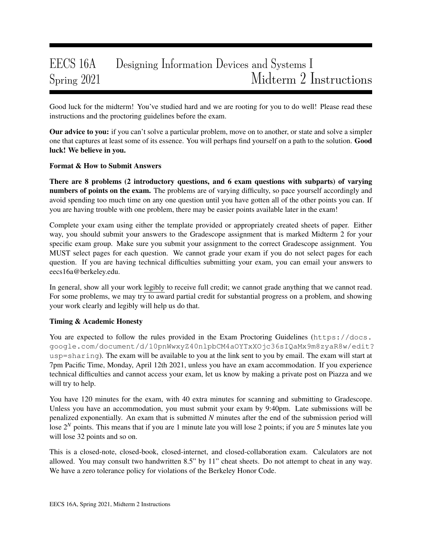# EECS 16A Designing Information Devices and Systems I Spring 2021 Midterm 2 Instructions

Good luck for the midterm! You've studied hard and we are rooting for you to do well! Please read these instructions and the proctoring guidelines before the exam.

Our advice to you: if you can't solve a particular problem, move on to another, or state and solve a simpler one that captures at least some of its essence. You will perhaps find yourself on a path to the solution. Good luck! We believe in you.

# Format & How to Submit Answers

There are 8 problems (2 introductory questions, and 6 exam questions with subparts) of varying numbers of points on the exam. The problems are of varying difficulty, so pace yourself accordingly and avoid spending too much time on any one question until you have gotten all of the other points you can. If you are having trouble with one problem, there may be easier points available later in the exam!

Complete your exam using either the template provided or appropriately created sheets of paper. Either way, you should submit your answers to the Gradescope assignment that is marked Midterm 2 for your specific exam group. Make sure you submit your assignment to the correct Gradescope assignment. You MUST select pages for each question. We cannot grade your exam if you do not select pages for each question. If you are having technical difficulties submitting your exam, you can email your answers to eecs16a@berkeley.edu.

In general, show all your work legibly to receive full credit; we cannot grade anything that we cannot read. For some problems, we may try to award partial credit for substantial progress on a problem, and showing your work clearly and legibly will help us do that.

# Timing & Academic Honesty

You are expected to follow the rules provided in the Exam Proctoring Guidelines (https://docs. google.com/document/d/10pnWwxyZ40nlpbCM4aOYTxXOjc36sIQaMx9m8zyaR8w/edit? usp=sharing). The exam will be available to you at the link sent to you by email. The exam will start at 7pm Pacific Time, Monday, April 12th 2021, unless you have an exam accommodation. If you experience technical difficulties and cannot access your exam, let us know by making a private post on Piazza and we will try to help.

You have 120 minutes for the exam, with 40 extra minutes for scanning and submitting to Gradescope. Unless you have an accommodation, you must submit your exam by 9:40pm. Late submissions will be penalized exponentially. An exam that is submitted *N* minutes after the end of the submission period will lose 2<sup>*N*</sup> points. This means that if you are 1 minute late you will lose 2 points; if you are 5 minutes late you will lose 32 points and so on.

This is a closed-note, closed-book, closed-internet, and closed-collaboration exam. Calculators are not allowed. You may consult two handwritten 8.5" by 11" cheat sheets. Do not attempt to cheat in any way. We have a zero tolerance policy for violations of the Berkeley Honor Code.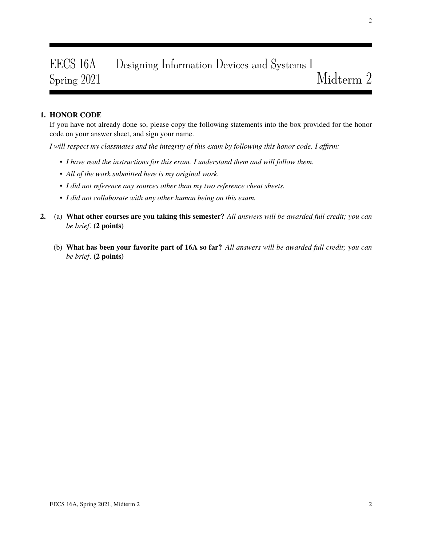# EECS 16A Designing Information Devices and Systems I Spring 2021 Midterm 2

# 1. HONOR CODE

If you have not already done so, please copy the following statements into the box provided for the honor code on your answer sheet, and sign your name.

*I will respect my classmates and the integrity of this exam by following this honor code. I affirm:*

- *I have read the instructions for this exam. I understand them and will follow them.*
- *All of the work submitted here is my original work.*
- *I did not reference any sources other than my two reference cheat sheets.*
- *I did not collaborate with any other human being on this exam.*
- 2. (a) What other courses are you taking this semester? *All answers will be awarded full credit; you can be brief*. (2 points)
	- (b) What has been your favorite part of 16A so far? *All answers will be awarded full credit; you can be brief*. (2 points)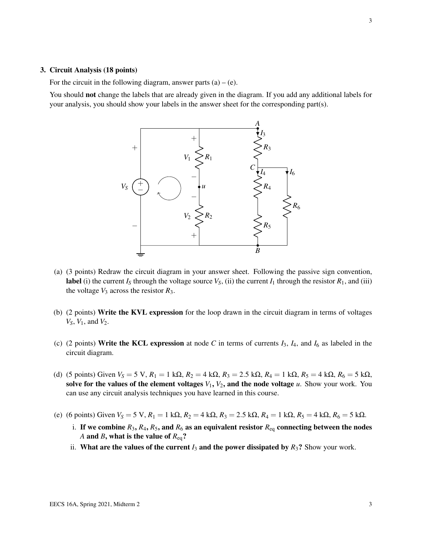#### 3. Circuit Analysis (18 points)

For the circuit in the following diagram, answer parts  $(a) - (e)$ .

You should not change the labels that are already given in the diagram. If you add any additional labels for your analysis, you should show your labels in the answer sheet for the corresponding part(s).



- (a) (3 points) Redraw the circuit diagram in your answer sheet. Following the passive sign convention, label (i) the current  $I_S$  through the voltage source  $V_S$ , (ii) the current  $I_1$  through the resistor  $R_1$ , and (iii) the voltage  $V_3$  across the resistor  $R_3$ .
- (b) (2 points) Write the KVL expression for the loop drawn in the circuit diagram in terms of voltages *VS*, *V*1, and *V*2.
- (c) (2 points) Write the KCL expression at node C in terms of currents  $I_3$ ,  $I_4$ , and  $I_6$  as labeled in the circuit diagram.
- (d) (5 points) Given  $V_S = 5$  V,  $R_1 = 1$  kΩ,  $R_2 = 4$  kΩ,  $R_3 = 2.5$  kΩ,  $R_4 = 1$  kΩ,  $R_5 = 4$  kΩ,  $R_6 = 5$  kΩ, solve for the values of the element voltages  $V_1$ ,  $V_2$ , and the node voltage  $u$ . Show your work. You can use any circuit analysis techniques you have learned in this course.
- (e) (6 points) Given  $V_s = 5 \text{ V}$ ,  $R_1 = 1 \text{ k}\Omega$ ,  $R_2 = 4 \text{ k}\Omega$ ,  $R_3 = 2.5 \text{ k}\Omega$ ,  $R_4 = 1 \text{ k}\Omega$ ,  $R_5 = 4 \text{ k}\Omega$ ,  $R_6 = 5 \text{ k}\Omega$ .
	- i. If we combine  $R_3$ ,  $R_4$ ,  $R_5$ , and  $R_6$  as an equivalent resistor  $R_{eq}$  connecting between the nodes *A* and *B*, what is the value of *R*eq?
	- ii. What are the values of the current  $I_3$  and the power dissipated by  $R_3$ ? Show your work.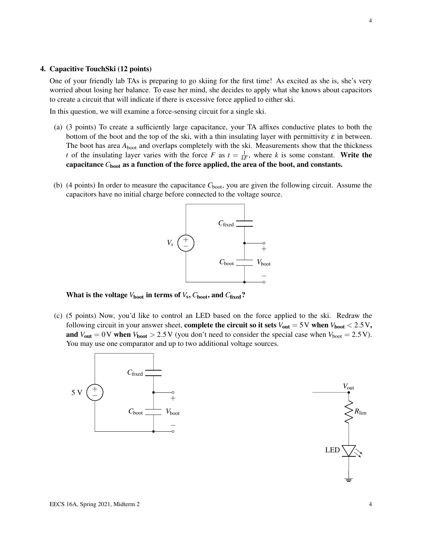#### 4. Capacitive TouchSki (12 points)

One of your friendly lab TAs is preparing to go skiing for the first time! As excited as she is, she's very worried about losing her balance. To ease her mind, she decides to apply what she knows about capacitors to create a circuit that will indicate if there is excessive force applied to either ski.

In this question, we will examine a force-sensing circuit for a single ski.

- (a) (3 points) To create a sufficiently large capacitance, your TA affixes conductive plates to both the bottom of the boot and the top of the ski, with a thin insulating layer with permittivity  $\varepsilon$  in between. The boot has area  $A_{boot}$  and overlaps completely with the ski. Measurements show that the thickness *t* of the insulating layer varies with the force *F* as  $t = \frac{1}{kF}$ , where *k* is some constant. Write the capacitance C<sub>boot</sub> as a function of the force applied, the area of the boot, and constants.
- (b) (4 points) In order to measure the capacitance  $C_{boot}$ , you are given the following circuit. Assume the capacitors have no initial charge before connected to the voltage source.



What is the voltage  $V_{\text{boot}}$  in terms of  $V_{\text{s}}, C_{\text{boot}},$  and  $C_{\text{fixed}}$ ?

(c) (5 points) Now, you'd like to control an LED based on the force applied to the ski. Redraw the following circuit in your answer sheet, **complete the circuit so it sets**  $V_{\text{out}} = 5 \text{ V}$  when  $V_{\text{boot}} < 2.5 \text{ V}$ , and  $V_{\text{out}} = 0$ V when  $V_{\text{boot}} > 2.5$ V (you don't need to consider the special case when  $V_{\text{boot}} = 2.5$ V). You may use one comparator and up to two additional voltage sources.



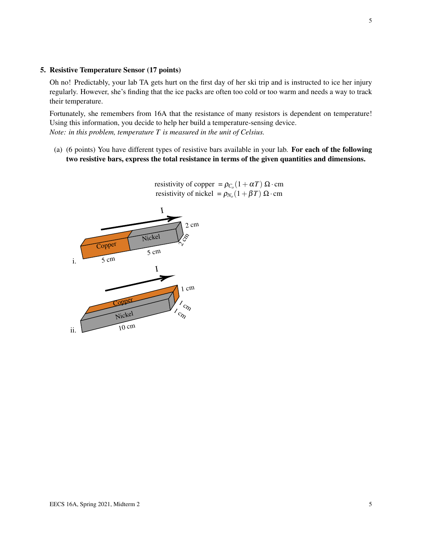## 5. Resistive Temperature Sensor (17 points)

Oh no! Predictably, your lab TA gets hurt on the first day of her ski trip and is instructed to ice her injury regularly. However, she's finding that the ice packs are often too cold or too warm and needs a way to track their temperature.

Fortunately, she remembers from 16A that the resistance of many resistors is dependent on temperature! Using this information, you decide to help her build a temperature-sensing device. *Note: in this problem, temperature T is measured in the unit of Celsius.*

(a) (6 points) You have different types of resistive bars available in your lab. For each of the following two resistive bars, express the total resistance in terms of the given quantities and dimensions.



resistivity of copper =  $\rho_{C_0}(1+\alpha T) \Omega \cdot \text{cm}$ resistivity of nickel =  $\rho_{N_o}(1+\beta T) \Omega \cdot \text{cm}$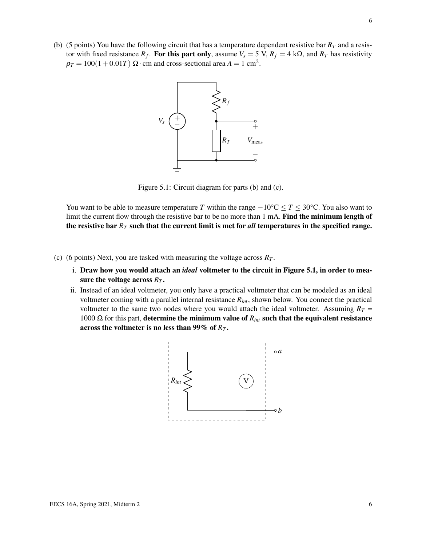<span id="page-5-0"></span>(b) (5 points) You have the following circuit that has a temperature dependent resistive bar  $R<sub>T</sub>$  and a resistor with fixed resistance  $R_f$ . For this part only, assume  $V_s = 5$  V,  $R_f = 4$  k $\Omega$ , and  $R_T$  has resistivity  $\rho_T = 100(1+0.01T) \ \Omega \cdot \text{cm}$  and cross-sectional area  $A = 1 \text{ cm}^2$ .



Figure 5.1: Circuit diagram for parts (b) and (c).

You want to be able to measure temperature *T* within the range  $-10\degree C \leq T \leq 30\degree C$ . You also want to limit the current flow through the resistive bar to be no more than 1 mA. Find the minimum length of the resistive bar *R<sup>T</sup>* such that the current limit is met for *all* temperatures in the specified range.

- (c) (6 points) Next, you are tasked with measuring the voltage across  $R_T$ .
	- i. Draw how you would attach an *ideal* voltmeter to the circuit in Figure [5.1,](#page-5-0) in order to measure the voltage across *R<sup>T</sup>* .
	- ii. Instead of an ideal voltmeter, you only have a practical voltmeter that can be modeled as an ideal voltmeter coming with a parallel internal resistance *Rint*, shown below. You connect the practical voltmeter to the same two nodes where you would attach the ideal voltmeter. Assuming  $R_T =$ 1000 Ω for this part, determine the minimum value of  $R_{int}$  such that the equivalent resistance across the voltmeter is no less than 99% of *R<sup>T</sup>* .

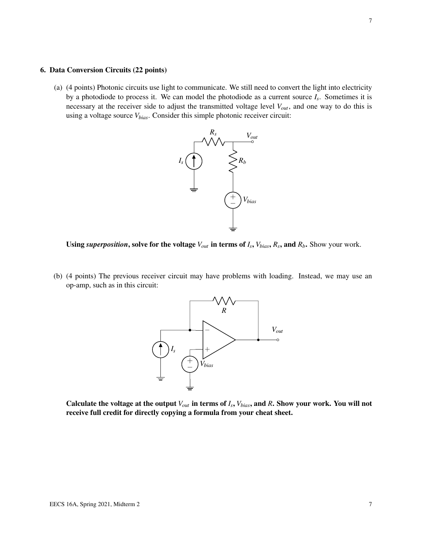### 6. Data Conversion Circuits (22 points)

(a) (4 points) Photonic circuits use light to communicate. We still need to convert the light into electricity by a photodiode to process it. We can model the photodiode as a current source *I<sup>s</sup>* . Sometimes it is necessary at the receiver side to adjust the transmitted voltage level *Vout*, and one way to do this is using a voltage source *Vbias*. Consider this simple photonic receiver circuit:





(b) (4 points) The previous receiver circuit may have problems with loading. Instead, we may use an op-amp, such as in this circuit:



Calculate the voltage at the output  $V_{out}$  in terms of  $I_s$ ,  $V_{bias}$ , and  $R$ . Show your work. You will not receive full credit for directly copying a formula from your cheat sheet.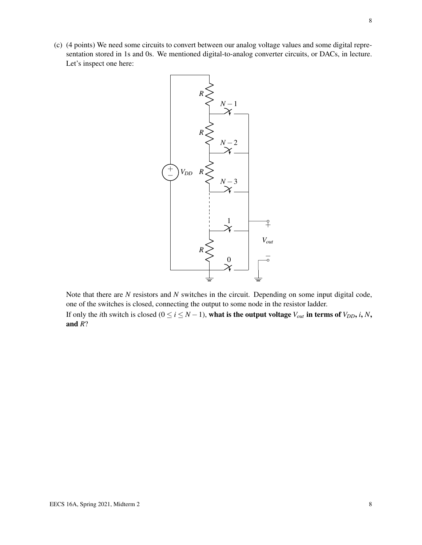(c) (4 points) We need some circuits to convert between our analog voltage values and some digital representation stored in 1s and 0s. We mentioned digital-to-analog converter circuits, or DACs, in lecture. Let's inspect one here:



Note that there are *N* resistors and *N* switches in the circuit. Depending on some input digital code, one of the switches is closed, connecting the output to some node in the resistor ladder. If only the *i*th switch is closed ( $0 \le i \le N - 1$ ), what is the output voltage  $V_{out}$  in terms of  $V_{DD}$ , *i*, *N*, and *R*?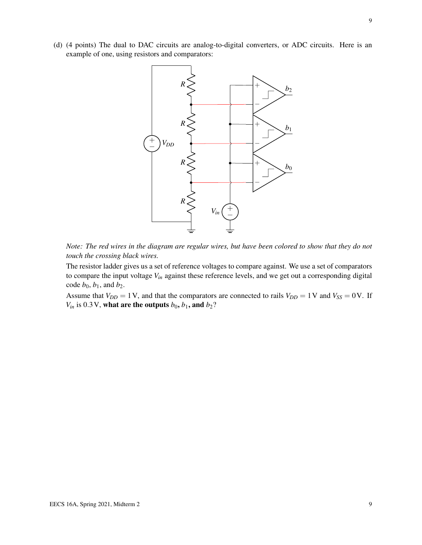(d) (4 points) The dual to DAC circuits are analog-to-digital converters, or ADC circuits. Here is an example of one, using resistors and comparators:



*Note: The red wires in the diagram are regular wires, but have been colored to show that they do not touch the crossing black wires.*

The resistor ladder gives us a set of reference voltages to compare against. We use a set of comparators to compare the input voltage *Vin* against these reference levels, and we get out a corresponding digital code  $b_0$ ,  $b_1$ , and  $b_2$ .

Assume that  $V_{DD} = 1 \text{ V}$ , and that the comparators are connected to rails  $V_{DD} = 1 \text{ V}$  and  $V_{SS} = 0 \text{ V}$ . If  $V_{in}$  is 0.3 V, what are the outputs  $b_0$ ,  $b_1$ , and  $b_2$ ?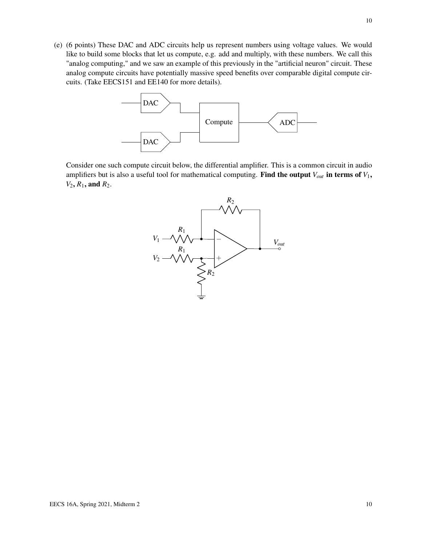(e) (6 points) These DAC and ADC circuits help us represent numbers using voltage values. We would like to build some blocks that let us compute, e.g. add and multiply, with these numbers. We call this "analog computing," and we saw an example of this previously in the "artificial neuron" circuit. These analog compute circuits have potentially massive speed benefits over comparable digital compute circuits. (Take EECS151 and EE140 for more details).



Consider one such compute circuit below, the differential amplifier. This is a common circuit in audio amplifiers but is also a useful tool for mathematical computing. Find the output  $V_{out}$  in terms of  $V_1$ ,  $V_2$ ,  $R_1$ , and  $R_2$ .

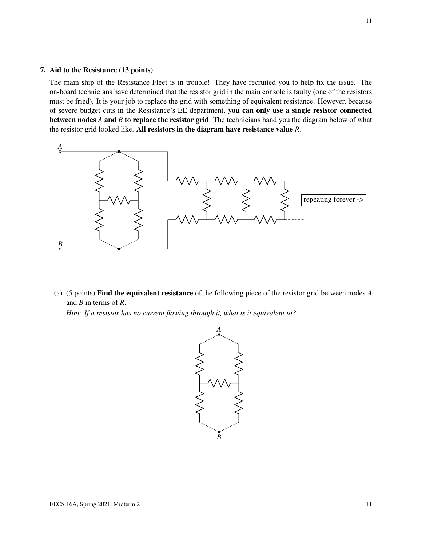### 7. Aid to the Resistance (13 points)

The main ship of the Resistance Fleet is in trouble! They have recruited you to help fix the issue. The on-board technicians have determined that the resistor grid in the main console is faulty (one of the resistors must be fried). It is your job to replace the grid with something of equivalent resistance. However, because of severe budget cuts in the Resistance's EE department, you can only use a single resistor connected between nodes *A* and *B* to replace the resistor grid. The technicians hand you the diagram below of what the resistor grid looked like. All resistors in the diagram have resistance value *R*.



(a) (5 points) Find the equivalent resistance of the following piece of the resistor grid between nodes *A* and *B* in terms of *R*.

*Hint: If a resistor has no current flowing through it, what is it equivalent to?*

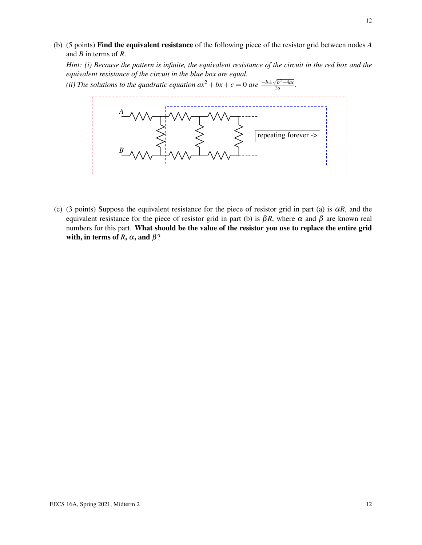(b) (5 points) Find the equivalent resistance of the following piece of the resistor grid between nodes *A* and *B* in terms of *R*.

*Hint: (i) Because the pattern is infinite, the equivalent resistance of the circuit in the red box and the equivalent resistance of the circuit in the blue box are equal.*

*(ii) The solutions to the quadratic equation*  $ax^2 + bx + c = 0$  *are*  $\frac{-b \pm \sqrt{b^2 - 4ac}}{2a}$  $\frac{2a}{2a}$ .



(c) (3 points) Suppose the equivalent resistance for the piece of resistor grid in part (a) is  $\alpha R$ , and the equivalent resistance for the piece of resistor grid in part (b) is  $\beta R$ , where  $\alpha$  and  $\beta$  are known real numbers for this part. What should be the value of the resistor you use to replace the entire grid with, in terms of *R*,  $\alpha$ , and  $\beta$ ?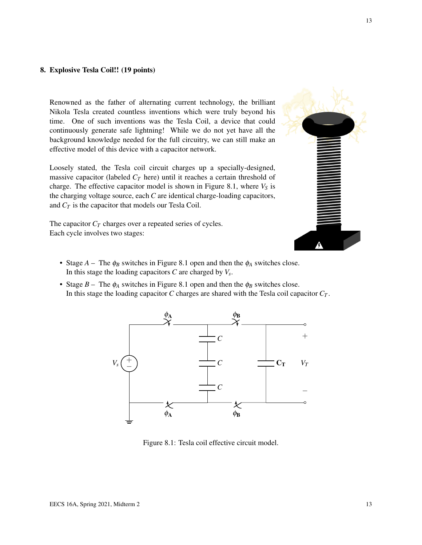## 8. Explosive Tesla Coil!! (19 points)

Renowned as the father of alternating current technology, the brilliant Nikola Tesla created countless inventions which were truly beyond his time. One of such inventions was the Tesla Coil, a device that could continuously generate safe lightning! While we do not yet have all the background knowledge needed for the full circuitry, we can still make an effective model of this device with a capacitor network.

Loosely stated, the Tesla coil circuit charges up a specially-designed, massive capacitor (labeled  $C_T$  here) until it reaches a certain threshold of charge. The effective capacitor model is shown in Figure [8.1,](#page-12-0) where  $V<sub>S</sub>$  is the charging voltage source, each *C* are identical charge-loading capacitors, and *C<sup>T</sup>* is the capacitor that models our Tesla Coil.

The capacitor  $C_T$  charges over a repeated series of cycles. Each cycle involves two stages:



- Stage  $A$  The  $\phi_B$  switches in Figure [8.1](#page-12-0) open and then the  $\phi_A$  switches close. In this stage the loading capacitors *C* are charged by *V<sup>s</sup>* .
- <span id="page-12-0"></span>• Stage  $B$  – The  $\phi_A$  switches in Figure [8.1](#page-12-0) open and then the  $\phi_B$  switches close. In this stage the loading capacitor *C* charges are shared with the Tesla coil capacitor  $C_T$ .



Figure 8.1: Tesla coil effective circuit model.